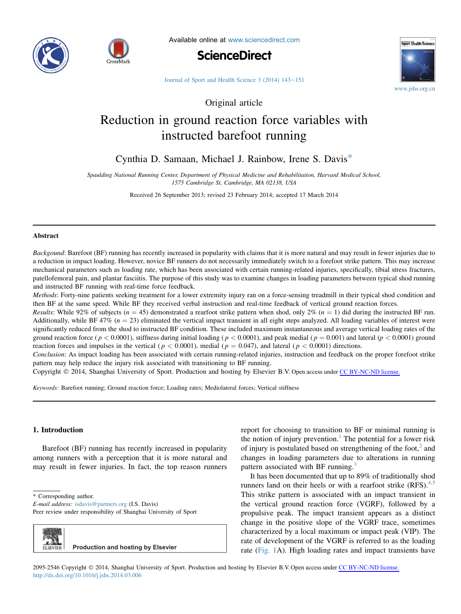



Available online at [www.sciencedirect.com](www.sciencedirect.com/science/journal/20952546)





Journal of Sport and [Health Science](http://dx.doi.org/10.1016/j.jshs.2014.03.006)  $3(2014) 143-151$  $3(2014) 143-151$ 

Original article

# Reduction in ground reaction force variables with instructed barefoot running

Cynthia D. Samaan, Michael J. Rainbow, Irene S. Davis\*

Spaulding National Running Center, Department of Physical Medicine and Rehabilitation, Harvard Medical School, 1575 Cambridge St, Cambridge, MA 02138, USA

Received 26 September 2013; revised 23 February 2014; accepted 17 March 2014

## Abstract

Backgound: Barefoot (BF) running has recently increased in popularity with claims that it is more natural and may result in fewer injuries due to a reduction in impact loading. However, novice BF runners do not necessarily immediately switch to a forefoot strike pattern. This may increase mechanical parameters such as loading rate, which has been associated with certain running-related injuries, specifically, tibial stress fractures, patellofemoral pain, and plantar fasciitis. The purpose of this study was to examine changes in loading parameters between typical shod running and instructed BF running with real-time force feedback.

Methods: Forty-nine patients seeking treatment for a lower extremity injury ran on a force-sensing treadmill in their typical shod condition and then BF at the same speed. While BF they received verbal instruction and real-time feedback of vertical ground reaction forces.

Results: While 92% of subjects ( $n = 45$ ) demonstrated a rearfoot strike pattern when shod, only 2% ( $n = 1$ ) did during the instructed BF run. Additionally, while BF 47% ( $n = 23$ ) eliminated the vertical impact transient in all eight steps analyzed. All loading variables of interest were significantly reduced from the shod to instructed BF condition. These included maximum instantaneous and average vertical loading rates of the ground reaction force ( $p < 0.0001$ ), stiffness during initial loading ( $p < 0.0001$ ), and peak medial ( $p = 0.001$ ) and lateral ( $p < 0.0001$ ) ground reaction forces and impulses in the vertical ( $p < 0.0001$ ), medial ( $p = 0.047$ ), and lateral ( $p < 0.0001$ ) directions.

Conclusion: As impact loading has been associated with certain running-related injuries, instruction and feedback on the proper forefoot strike pattern may help reduce the injury risk associated with transitioning to BF running.

Copyright © 2014, Shanghai University of Sport. Production and hosting by Elsevier B.V. Open access under [CC BY-NC-ND license.](http://creativecommons.org/licenses/by-nc-nd/4.0/)

Keywords: Barefoot running; Ground reaction force; Loading rates; Mediolateral forces; Vertical stiffness

## 1. Introduction

Barefoot (BF) running has recently increased in popularity among runners with a perception that it is more natural and may result in fewer injuries. In fact, the top reason runners

**EL SEVIER Production and hosting by Elsevier** report for choosing to transition to BF or minimal running is the notion of injury prevention.<sup>[1](#page-7-0)</sup> The potential for a lower risk of injury is postulated based on strengthening of the foot, $2$  and changes in loading parameters due to alterations in running pattern associated with BF running.<sup>[3](#page-7-0)</sup>

It has been documented that up to 89% of traditionally shod runners land on their heels or with a rearfoot strike  $(RFS)$ .<sup>[4,5](#page-7-0)</sup> This strike pattern is associated with an impact transient in the vertical ground reaction force (VGRF), followed by a propulsive peak. The impact transient appears as a distinct change in the positive slope of the VGRF trace, sometimes characterized by a local maximum or impact peak (VIP). The rate of development of the VGRF is referred to as the loading rate [\(Fig. 1A](#page-1-0)). High loading rates and impact transients have

2095-2546 Copyright © 2014, Shanghai University of Sport. Production and hosting by Elsevier B.V. Open access under [CC BY-NC-ND license.](http://creativecommons.org/licenses/by-nc-nd/4.0/) <http://dx.doi.org/10.1016/j.jshs.2014.03.006>

<sup>\*</sup> Corresponding author.

E-mail address: [isdavis@partners.org](mailto:isdavis@partners.org) (I.S. Davis)

Peer review under responsibility of Shanghai University of Sport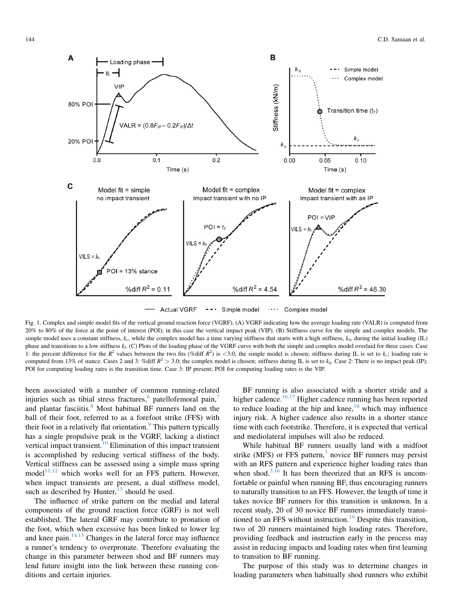<span id="page-1-0"></span>

Actual VGRF -- Simple model  $\ldots$  . Complex model

Fig. 1. Complex and simple model fits of the vertical ground reaction force (VGRF). (A) VGRF indicating how the average loading rate (VALR) is computed from 20% to 80% of the force at the point of interest (POI); in this case the vertical impact peak (VIP). (B) Stiffness curve for the simple and complex models. The simple model uses a constant stiffness,  $k_c$ , while the complex model has a time varying stiffness that starts with a high stiffness,  $k_h$ , during the initial loading (IL) phase and transitions to a low stiffness  $k_l$ . (C) Plots of the loading phase of the VGRF curve with both the simple and complex model overlaid for three cases. Case 1: the percent difference for the  $R^2$  values between the two fits (%diff  $R^2$ ) is <3.0; the simple model is chosen; stiffness during IL is set to  $k_c$ ; loading rate is computed from 13% of stance. Cases 2 and 3: %diff  $R^2 > 3.0$ ; the complex model is chosen; stiffness during IL is set to  $k<sub>h</sub>$ . Case 2: There is no impact peak (IP); POI for computing loading rates is the transition time. Case 3: IP present; POI for computing loading rates is the VIP.

been associated with a number of common running-related injuries such as tibial stress fractures, $6$  patellofemoral pain, $7$ and plantar fasciitis.<sup>[8](#page-7-0)</sup> Most habitual BF runners land on the ball of their foot, referred to as a forefoot strike (FFS) with their foot in a relatively flat orientation.<sup>[9](#page-7-0)</sup> This pattern typically has a single propulsive peak in the VGRF, lacking a distinct vertical impact transient.<sup>[10](#page-7-0)</sup> Elimination of this impact transient is accomplished by reducing vertical stiffness of the body. Vertical stiffness can be assessed using a simple mass spring model $11,12$  which works well for an FFS pattern. However, when impact transients are present, a dual stiffness model, such as described by Hunter, $^{13}$  $^{13}$  $^{13}$  should be used.

The influence of strike pattern on the medial and lateral components of the ground reaction force (GRF) is not well established. The lateral GRF may contribute to pronation of the foot, which when excessive has been linked to lower leg and knee pain. $14,15$  Changes in the lateral force may influence a runner's tendency to overpronate. Therefore evaluating the change in this parameter between shod and BF runners may lend future insight into the link between these running conditions and certain injuries.

BF running is also associated with a shorter stride and a higher cadence.<sup>[16,17](#page-7-0)</sup> Higher cadence running has been reported to reduce loading at the hip and knee, $18$  which may influence injury risk. A higher cadence also results in a shorter stance time with each footstrike. Therefore, it is expected that vertical and mediolateral impulses will also be reduced.

While habitual BF runners usually land with a midfoot strike (MFS) or FFS pattern, $3$  novice BF runners may persist with an RFS pattern and experience higher loading rates than when shod. $3,16$  It has been theorized that an RFS is uncomfortable or painful when running BF, thus encouraging runners to naturally transition to an FFS. However, the length of time it takes novice BF runners for this transition is unknown. In a recent study, 20 of 30 novice BF runners immediately transi-tioned to an FFS without instruction.<sup>[19](#page-7-0)</sup> Despite this transition, two of 20 runners maintained high loading rates. Therefore, providing feedback and instruction early in the process may assist in reducing impacts and loading rates when first learning to transition to BF running.

The purpose of this study was to determine changes in loading parameters when habitually shod runners who exhibit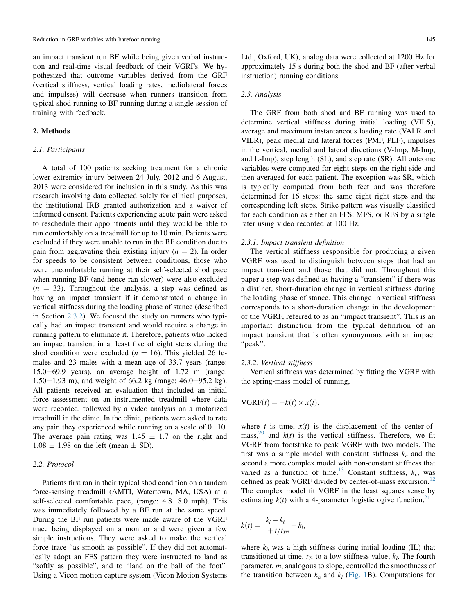an impact transient run BF while being given verbal instruction and real-time visual feedback of their VGRFs. We hypothesized that outcome variables derived from the GRF (vertical stiffness, vertical loading rates, mediolateral forces and impulses) will decrease when runners transition from typical shod running to BF running during a single session of training with feedback.

# 2. Methods

#### 2.1. Participants

A total of 100 patients seeking treatment for a chronic lower extremity injury between 24 July, 2012 and 6 August, 2013 were considered for inclusion in this study. As this was research involving data collected solely for clinical purposes, the institutional IRB granted authorization and a waiver of informed consent. Patients experiencing acute pain were asked to reschedule their appointments until they would be able to run comfortably on a treadmill for up to 10 min. Patients were excluded if they were unable to run in the BF condition due to pain from aggravating their existing injury  $(n = 2)$ . In order for speeds to be consistent between conditions, those who were uncomfortable running at their self-selected shod pace when running BF (and hence ran slower) were also excluded  $(n = 33)$ . Throughout the analysis, a step was defined as having an impact transient if it demonstrated a change in vertical stiffness during the loading phase of stance (described in Section 2.3.2). We focused the study on runners who typically had an impact transient and would require a change in running pattern to eliminate it. Therefore, patients who lacked an impact transient in at least five of eight steps during the shod condition were excluded ( $n = 16$ ). This yielded 26 females and 23 males with a mean age of 33.7 years (range:  $15.0-69.9$  years), an average height of  $1.72$  m (range:  $1.50-1.93$  m), and weight of 66.2 kg (range:  $46.0-95.2$  kg). All patients received an evaluation that included an initial force assessment on an instrumented treadmill where data were recorded, followed by a video analysis on a motorized treadmill in the clinic. In the clinic, patients were asked to rate any pain they experienced while running on a scale of  $0-10$ . The average pain rating was  $1.45 \pm 1.7$  on the right and  $1.08 \pm 1.98$  on the left (mean  $\pm$  SD).

## 2.2. Protocol

Patients first ran in their typical shod condition on a tandem force-sensing treadmill (AMTI, Watertown, MA, USA) at a self-selected comfortable pace, (range:  $4.8-8.0$  mph). This was immediately followed by a BF run at the same speed. During the BF run patients were made aware of the VGRF trace being displayed on a monitor and were given a few simple instructions. They were asked to make the vertical force trace "as smooth as possible". If they did not automatically adopt an FFS pattern they were instructed to land as "softly as possible", and to "land on the ball of the foot". Using a Vicon motion capture system (Vicon Motion Systems Ltd., Oxford, UK), analog data were collected at 1200 Hz for approximately 15 s during both the shod and BF (after verbal instruction) running conditions.

## 2.3. Analysis

The GRF from both shod and BF running was used to determine vertical stiffness during initial loading (VILS), average and maximum instantaneous loading rate (VALR and VILR), peak medial and lateral forces (PMF, PLF), impulses in the vertical, medial and lateral directions (V-Imp, M-Imp, and L-Imp), step length (SL), and step rate (SR). All outcome variables were computed for eight steps on the right side and then averaged for each patient. The exception was SR, which is typically computed from both feet and was therefore determined for 16 steps: the same eight right steps and the corresponding left steps. Strike pattern was visually classified for each condition as either an FFS, MFS, or RFS by a single rater using video recorded at 100 Hz.

#### 2.3.1. Impact transient definition

The vertical stiffness responsible for producing a given VGRF was used to distinguish between steps that had an impact transient and those that did not. Throughout this paper a step was defined as having a "transient" if there was a distinct, short-duration change in vertical stiffness during the loading phase of stance. This change in vertical stiffness corresponds to a short-duration change in the development of the VGRF, referred to as an "impact transient". This is an important distinction from the typical definition of an impact transient that is often synonymous with an impact "peak".

#### 2.3.2. Vertical stiffness

Vertical stiffness was determined by fitting the VGRF with the spring-mass model of running,

$$
VGRF(t) = -k(t) \times x(t),
$$

where t is time,  $x(t)$  is the displacement of the center-of-mass,<sup>[20](#page-7-0)</sup> and  $k(t)$  is the vertical stiffness. Therefore, we fit VGRF from footstrike to peak VGRF with two models. The first was a simple model with constant stiffness  $k_c$  and the second a more complex model with non-constant stiffness that varied as a function of time.<sup>[13](#page-7-0)</sup> Constant stiffness,  $k_c$ , was defined as peak VGRF divided by center-of-mass excursion.<sup>12</sup> The complex model fit VGRF in the least squares sense by estimating  $k(t)$  with a 4-parameter logistic ogive function,  $21$ 

$$
k(t) = \frac{k_l - k_h}{1 + t/t_{T^m}} + k_l,
$$

where  $k_h$  was a high stiffness during initial loading (IL) that transitioned at time,  $t_T$ , to a low stiffness value,  $k_l$ . The fourth parameter, m, analogous to slope, controlled the smoothness of the transition between  $k_h$  and  $k_l$  [\(Fig. 1B](#page-1-0)). Computations for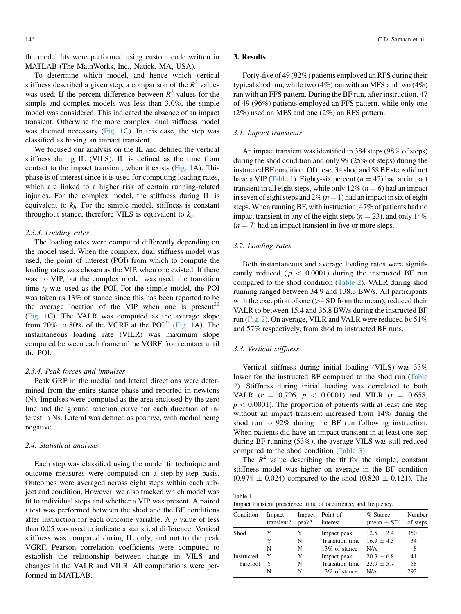<span id="page-3-0"></span>the model fits were performed using custom code written in MATLAB (The MathWorks, Inc., Natick, MA, USA).

To determine which model, and hence which vertical stiffness described a given step, a comparison of the  $R^2$  values was used. If the percent difference between  $R^2$  values for the simple and complex models was less than 3.0%, the simple model was considered. This indicated the absence of an impact transient. Otherwise the more complex, dual stiffness model was deemed necessary [\(Fig. 1](#page-1-0)C). In this case, the step was classified as having an impact transient.

We focused our analysis on the IL and defined the vertical stiffness during IL (VILS). IL is defined as the time from contact to the impact transient, when it exists ([Fig. 1A](#page-1-0)). This phase is of interest since it is used for computing loading rates, which are linked to a higher risk of certain running-related injuries. For the complex model, the stiffness during IL is equivalent to  $k<sub>h</sub>$ . For the simple model, stiffness is constant throughout stance, therefore VILS is equivalent to  $k_c$ .

#### 2.3.3. Loading rates

The loading rates were computed differently depending on the model used. When the complex, dual stiffness model was used, the point of interest (POI) from which to compute the loading rates was chosen as the VIP, when one existed. If there was no VIP, but the complex model was used, the transition time  $t_T$  was used as the POI. For the simple model, the POI was taken as 13% of stance since this has been reported to be the average location of the VIP when one is present<sup>[22](#page-7-0)</sup> [\(Fig. 1C](#page-1-0)). The VALR was computed as the average slope from 20% to 80% of the VGRF at the POI<sup>[23](#page-7-0)</sup> ([Fig. 1](#page-1-0)A). The instantaneous loading rate (VILR) was maximum slope computed between each frame of the VGRF from contact until the POI.

#### 2.3.4. Peak forces and impulses

Peak GRF in the medial and lateral directions were determined from the entire stance phase and reported in newtons (N). Impulses were computed as the area enclosed by the zero line and the ground reaction curve for each direction of interest in Ns. Lateral was defined as positive, with medial being negative.

## 2.4. Statistical analysis

Each step was classified using the model fit technique and outcome measures were computed on a step-by-step basis. Outcomes were averaged across eight steps within each subject and condition. However, we also tracked which model was fit to individual steps and whether a VIP was present. A paired t test was performed between the shod and the BF conditions after instruction for each outcome variable. A  $p$  value of less than 0.05 was used to indicate a statistical difference. Vertical stiffness was compared during IL only, and not to the peak VGRF. Pearson correlation coefficients were computed to establish the relationship between change in VILS and changes in the VALR and VILR. All computations were performed in MATLAB.

# 3. Results

Forty-five of 49 (92%) patients employed an RFS during their typical shod run, while two (4%) ran with an MFS and two (4%) ran with an FFS pattern. During the BF run, after instruction, 47 of 49 (96%) patients employed an FFS pattern, while only one (2%) used an MFS and one (2%) an RFS pattern.

## 3.1. Impact transients

An impact transient was identified in 384 steps (98% of steps) during the shod condition and only 99 (25% of steps) during the instructed BF condition. Of these, 34 shod and 58 BF steps did not have a VIP (Table 1). Eighty-six percent  $(n = 42)$  had an impact transient in all eight steps, while only 12%  $(n = 6)$  had an impact in seven of eight steps and  $2\%$   $(n = 1)$  had an impact in six of eight steps. When running BF, with instruction, 47% of patients had no impact transient in any of the eight steps ( $n = 23$ ), and only 14%  $(n = 7)$  had an impact transient in five or more steps.

#### 3.2. Loading rates

Both instantaneous and average loading rates were significantly reduced ( $p < 0.0001$ ) during the instructed BF run compared to the shod condition ([Table 2\)](#page-4-0). VALR during shod running ranged between 34.9 and 138.3 BW/s. All participants with the exception of one  $(>4$  SD from the mean), reduced their VALR to between 15.4 and 36.8 BW/s during the instructed BF run [\(Fig. 2\)](#page-4-0). On average, VILR and VALR were reduced by 51% and 57% respectively, from shod to instructed BF runs.

#### 3.3. Vertical stiffness

Vertical stiffness during initial loading (VILS) was 33% lower for the instructed BF compared to the shod run ([Table](#page-4-0) [2\)](#page-4-0). Stiffness during initial loading was correlated to both VALR ( $r = 0.726$ ,  $p < 0.0001$ ) and VILR ( $r = 0.658$ ,  $p < 0.0001$ ). The proportion of patients with at least one step without an impact transient increased from 14% during the shod run to 92% during the BF run following instruction. When patients did have an impact transient in at least one step during BF running (53%), the average VILS was still reduced compared to the shod condition ([Table 3](#page-4-0)).

The  $R^2$  value describing the fit for the simple, constant stiffness model was higher on average in the BF condition  $(0.974 \pm 0.024)$  compared to the shod  $(0.820 \pm 0.121)$ . The

| Table 1                                                         |  |
|-----------------------------------------------------------------|--|
| Impact transient prescience, time of occurrence, and frequency. |  |

| Condition  | Impact<br>transient? | Impact<br>peak? | Point of<br>interest   | % Stance<br>$(\text{mean} \pm \text{SD})$ | Number<br>of steps |
|------------|----------------------|-----------------|------------------------|-------------------------------------------|--------------------|
| Shod       |                      |                 | Impact peak            | $12.5 \pm 2.4$                            | 350                |
|            | Y                    | N               | <b>Transition</b> time | $16.9 + 4.3$                              | 34                 |
|            | N                    | N               | 13% of stance          | N/A                                       | 8                  |
| Instructed | Y                    | Y               | Impact peak            | $20.3 \pm 6.8$                            | 41                 |
| barefoot   | Y                    | N               | <b>Transition</b> time | $23.9 + 5.7$                              | 58                 |
|            | N                    | N               | 13\% of stance         | N/A                                       | 293                |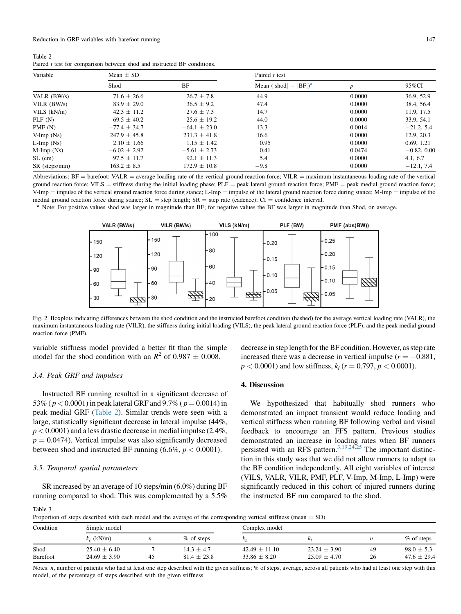<span id="page-4-0"></span>

| Table 2                                                                 |  |  |  |  |
|-------------------------------------------------------------------------|--|--|--|--|
| Paired t test for comparison between shod and instructed BF conditions. |  |  |  |  |

| Variable        | Mean $\pm$ SD    |                  | Paired t test                       |        |               |  |  |
|-----------------|------------------|------------------|-------------------------------------|--------|---------------|--|--|
|                 | Shod             | BF               | Mean ( shod  $-$  BF ) <sup>a</sup> |        | 95%CI         |  |  |
| VALR $(BW/s)$   | $71.6 \pm 26.6$  | $26.7 \pm 7.8$   | 44.9                                | 0.0000 | 36.9, 52.9    |  |  |
| VILR $(BW/s)$   | $83.9 \pm 29.0$  | $36.5 \pm 9.2$   | 47.4                                | 0.0000 | 38.4, 56.4    |  |  |
| VILS $(kN/m)$   | $42.3 \pm 11.2$  | $27.6 \pm 7.3$   | 14.7                                | 0.0000 | 11.9, 17.5    |  |  |
| PLF(N)          | $69.5 + 40.2$    | $25.6 \pm 19.2$  | 44.0                                | 0.0000 | 33.9.54.1     |  |  |
| PMF(N)          | $-77.4 \pm 34.7$ | $-64.1 \pm 23.0$ | 13.3                                | 0.0014 | $-21.2, 5.4$  |  |  |
| $V-Imp(Ns)$     | $247.9 \pm 45.8$ | $231.3 \pm 41.8$ | 16.6                                | 0.0000 | 12.9. 20.3    |  |  |
| $L-Imp(Ns)$     | $2.10 + 1.66$    | $1.15 + 1.42$    | 0.95                                | 0.0000 | 0.69, 1.21    |  |  |
| $M$ -Imp $(Ns)$ | $-6.02 \pm 2.92$ | $-5.61 \pm 2.73$ | 0.41                                | 0.0474 | $-0.82, 0.00$ |  |  |
| $SL$ (cm)       | $97.5 \pm 11.7$  | $92.1 \pm 11.3$  | 5.4                                 | 0.0000 | 4.1, 6.7      |  |  |
| SR (steps/min)  | $163.2 \pm 8.5$  | $172.9 \pm 10.8$ | $-9.8$                              | 0.0000 | $-12.1, 7.4$  |  |  |

Abbreviations:  $BF = \text{barfoot}$ ; VALR = average loading rate of the vertical ground reaction force; VILR = maximum instantaneous loading rate of the vertical ground reaction force; VILS = stiffness during the initial loading phase;  $PLF = peak$  lateral ground reaction force;  $PMF = peak$  medial ground reaction force; V-Imp = impulse of the vertical ground reaction force during stance; L-Imp = impulse of the lateral ground reaction force during stance; M-Imp = impulse of the medial ground reaction force during stance; SL = step length;

<sup>a</sup> Note: For positive values shod was larger in magnitude than BF; for negative values the BF was larger in magnitude than Shod, on average,



Fig. 2. Boxplots indicating differences between the shod condition and the instructed barefoot condition (hashed) for the average vertical loading rate (VALR), the maximum instantaneous loading rate (VILR), the stiffness during initial loading (VILS), the peak lateral ground reaction force (PLF), and the peak medial ground reaction force (PMF).

variable stiffness model provided a better fit than the simple model for the shod condition with an  $R^2$  of 0.987  $\pm$  0.008.

# 3.4. Peak GRF and impulses

Instructed BF running resulted in a significant decrease of 53% ( $p < 0.0001$ ) in peak lateral GRF and 9.7% ( $p = 0.0014$ ) in peak medial GRF (Table 2). Similar trends were seen with a large, statistically significant decrease in lateral impulse (44%,  $p < 0.0001$ ) and a less drastic decrease in medial impulse (2.4%,  $p = 0.0474$ ). Vertical impulse was also significantly decreased between shod and instructed BF running  $(6.6\%, p < 0.0001)$ .

#### 3.5. Temporal spatial parameters

Table 3

SR increased by an average of 10 steps/min (6.0%) during BF running compared to shod. This was complemented by a 5.5%

decrease in step length for the BF condition. However, as step rate increased there was a decrease in vertical impulse ( $r = -0.881$ ,  $p < 0.0001$ ) and low stiffness,  $k_l$  ( $r = 0.797$ ,  $p < 0.0001$ ).

# 4. Discussion

We hypothesized that habitually shod runners who demonstrated an impact transient would reduce loading and vertical stiffness when running BF following verbal and visual feedback to encourage an FFS pattern. Previous studies demonstrated an increase in loading rates when BF runners persisted with an RFS pattern.<sup>[3,19,24,25](#page-7-0)</sup> The important distinction in this study was that we did not allow runners to adapt to the BF condition independently. All eight variables of interest (VILS, VALR, VILR, PMF, PLF, V-Imp, M-Imp, L-Imp) were significantly reduced in this cohort of injured runners during the instructed BF run compared to the shod.

Proportion of steps described with each model and the average of the corresponding vertical stiffness (mean  $\pm$  SD).

| Condition | Simple model     |    |               |                   | Complex model    |    |                 |  |  |
|-----------|------------------|----|---------------|-------------------|------------------|----|-----------------|--|--|
|           | $k_c$ (kN/m)     | n  | % of steps    | ĸ.                |                  |    | % of steps      |  |  |
| Shod      | $25.40 \pm 6.40$ |    | $14.3 + 4.7$  | $42.49 \pm 11.10$ | $23.24 \pm 3.90$ | 49 | $98.0 \pm 5.3$  |  |  |
| Barefoot  | $24.69 \pm 3.90$ | 45 | $81.4 + 23.8$ | $33.86 + 8.20$    | $25.09 + 4.70$   | 26 | $47.6 \pm 29.4$ |  |  |

Notes: n, number of patients who had at least one step described with the given stiffness; % of steps, average, across all patients who had at least one step with this model, of the percentage of steps described with the given stiffness.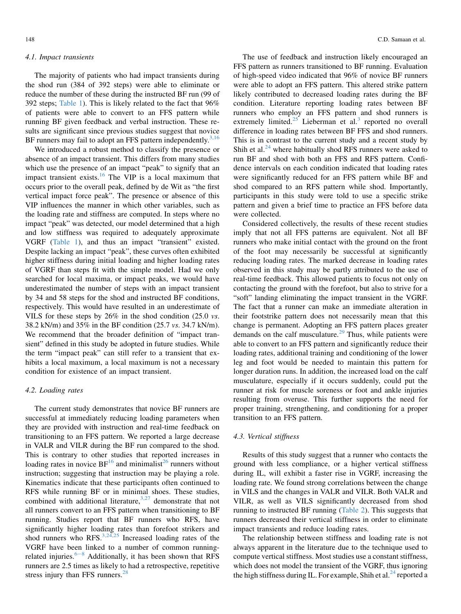## 4.1. Impact transients

The majority of patients who had impact transients during the shod run (384 of 392 steps) were able to eliminate or reduce the number of these during the instructed BF run (99 of 392 steps; [Table 1\)](#page-3-0). This is likely related to the fact that 96% of patients were able to convert to an FFS pattern while running BF given feedback and verbal instruction. These results are significant since previous studies suggest that novice BF runners may fail to adopt an FFS pattern independently. $3,16$ 

We introduced a robust method to classify the presence or absence of an impact transient. This differs from many studies which use the presence of an impact "peak" to signify that an impact transient exists.<sup>16</sup> The VIP is a local maximum that occurs prior to the overall peak, defined by de Wit as "the first vertical impact force peak". The presence or absence of this VIP influences the manner in which other variables, such as the loading rate and stiffness are computed. In steps where no impact "peak" was detected, our model determined that a high and low stiffness was required to adequately approximate VGRF [\(Table 1](#page-3-0)), and thus an impact "transient" existed. Despite lacking an impact "peak", these curves often exhibited higher stiffness during initial loading and higher loading rates of VGRF than steps fit with the simple model. Had we only searched for local maxima, or impact peaks, we would have underestimated the number of steps with an impact transient by 34 and 58 steps for the shod and instructed BF conditions, respectively. This would have resulted in an underestimate of VILS for these steps by 26% in the shod condition (25.0 vs. 38.2 kN/m) and 35% in the BF condition (25.7 vs. 34.7 kN/m). We recommend that the broader definition of "impact transient" defined in this study be adopted in future studies. While the term "impact peak" can still refer to a transient that exhibits a local maximum, a local maximum is not a necessary condition for existence of an impact transient.

#### 4.2. Loading rates

The current study demonstrates that novice BF runners are successful at immediately reducing loading parameters when they are provided with instruction and real-time feedback on transitioning to an FFS pattern. We reported a large decrease in VALR and VILR during the BF run compared to the shod. This is contrary to other studies that reported increases in loading rates in novice  $BF^{16}$  $BF^{16}$  $BF^{16}$  and minimalist<sup>26</sup> runners without instruction; suggesting that instruction may be playing a role. Kinematics indicate that these participants often continued to RFS while running BF or in minimal shoes. These studies, combined with additional literature,  $3.27$  demonstrate that not all runners convert to an FFS pattern when transitioning to BF running. Studies report that BF runners who RFS, have significantly higher loading rates than forefoot strikers and shod runners who RFS. $^{3,24,25}$  $^{3,24,25}$  $^{3,24,25}$  Increased loading rates of the VGRF have been linked to a number of common runningrelated injuries. $6-8$  $6-8$  $6-8$  Additionally, it has been shown that RFS runners are 2.5 times as likely to had a retrospective, repetitive stress injury than FFS runners. $28$ 

The use of feedback and instruction likely encouraged an FFS pattern as runners transitioned to BF running. Evaluation of high-speed video indicated that 96% of novice BF runners were able to adopt an FFS pattern. This altered strike pattern likely contributed to decreased loading rates during the BF condition. Literature reporting loading rates between BF runners who employ an FFS pattern and shod runners is extremely limited.<sup>[25](#page-7-0)</sup> Lieberman et al.<sup>[3](#page-7-0)</sup> reported no overall difference in loading rates between BF FFS and shod runners. This is in contrast to the current study and a recent study by Shih et al. $^{24}$  $^{24}$  $^{24}$  where habitually shod RFS runners were asked to run BF and shod with both an FFS and RFS pattern. Confidence intervals on each condition indicated that loading rates were significantly reduced for an FFS pattern while BF and shod compared to an RFS pattern while shod. Importantly, participants in this study were told to use a specific strike pattern and given a brief time to practice an FFS before data were collected.

Considered collectively, the results of these recent studies imply that not all FFS patterns are equivalent. Not all BF runners who make initial contact with the ground on the front of the foot may necessarily be successful at significantly reducing loading rates. The marked decrease in loading rates observed in this study may be partly attributed to the use of real-time feedback. This allowed patients to focus not only on contacting the ground with the forefoot, but also to strive for a "soft" landing eliminating the impact transient in the VGRF. The fact that a runner can make an immediate alteration in their footstrike pattern does not necessarily mean that this change is permanent. Adopting an FFS pattern places greater demands on the calf musculature.<sup>[29](#page-7-0)</sup> Thus, while patients were able to convert to an FFS pattern and significantly reduce their loading rates, additional training and conditioning of the lower leg and foot would be needed to maintain this pattern for longer duration runs. In addition, the increased load on the calf musculature, especially if it occurs suddenly, could put the runner at risk for muscle soreness or foot and ankle injuries resulting from overuse. This further supports the need for proper training, strengthening, and conditioning for a proper transition to an FFS pattern.

## 4.3. Vertical stiffness

Results of this study suggest that a runner who contacts the ground with less compliance, or a higher vertical stiffness during IL, will exhibit a faster rise in VGRF, increasing the loading rate. We found strong correlations between the change in VILS and the changes in VALR and VILR. Both VALR and VILR, as well as VILS significantly decreased from shod running to instructed BF running [\(Table 2](#page-4-0)). This suggests that runners decreased their vertical stiffness in order to eliminate impact transients and reduce loading rates.

The relationship between stiffness and loading rate is not always apparent in the literature due to the technique used to compute vertical stiffness. Most studies use a constant stiffness, which does not model the transient of the VGRF, thus ignoring the high stiffness during IL. For example, Shih et al.<sup>[24](#page-7-0)</sup> reported a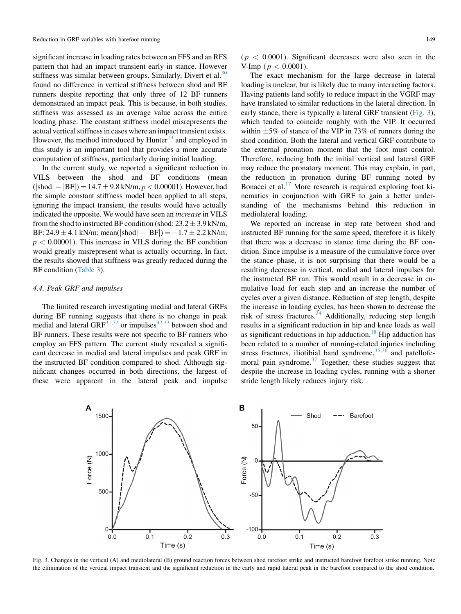significant increase in loading rates between an FFS and an RFS pattern that had an impact transient early in stance. However stiffness was similar between groups. Similarly, Divert et al.<sup>[30](#page-8-0)</sup> found no difference in vertical stiffness between shod and BF runners despite reporting that only three of 12 BF runners demonstrated an impact peak. This is because, in both studies, stiffness was assessed as an average value across the entire loading phase. The constant stiffness model misrepresents the actual vertical stiffness in cases where an impact transient exists. However, the method introduced by Hunter<sup>[13](#page-7-0)</sup> and employed in this study is an important tool that provides a more accurate computation of stiffness, particularly during initial loading.

In the current study, we reported a significant reduction in VILS between the shod and BF conditions (mean  $(|\text{shod}| - |\text{BF}|) = 14.7 \pm 9.8 \text{ kN/m}, p < 0.00001$ ). However, had the simple constant stiffness model been applied to all steps, ignoring the impact transient, the results would have actually indicated the opposite. We would have seen an increase in VILS from the shod to instructed BF condition (shod:  $23.2 \pm 3.9$  kN/m, BF:  $24.9 \pm 4.1$  kN/m; mean(|shod| - |BF|) =  $-1.7 \pm 2.2$  kN/m;  $p < 0.00001$ ). This increase in VILS during the BF condition would greatly misrepresent what is actually occurring. In fact, the results showed that stiffness was greatly reduced during the BF condition [\(Table 3\)](#page-4-0).

## 4.4. Peak GRF and impulses

The limited research investigating medial and lateral GRFs during BF running suggests that there is no change in peak medial and lateral  $GRF^{31,32}$  $GRF^{31,32}$  $GRF^{31,32}$  or impulses<sup>[32,33](#page-8-0)</sup> between shod and BF runners. These results were not specific to BF runners who employ an FFS pattern. The current study revealed a significant decrease in medial and lateral impulses and peak GRF in the instructed BF condition compared to shod. Although significant changes occurred in both directions, the largest of these were apparent in the lateral peak and impulse  $(p < 0.0001)$ . Significant decreases were also seen in the V-Imp ( $p < 0.0001$ ).

The exact mechanism for the large decrease in lateral loading is unclear, but is likely due to many interacting factors. Having patients land softly to reduce impact in the VGRF may have translated to similar reductions in the lateral direction. In early stance, there is typically a lateral GRF transient (Fig. 3), which tended to coincide roughly with the VIP. It occurred within  $\pm 5\%$  of stance of the VIP in 73% of runners during the shod condition. Both the lateral and vertical GRF contribute to the external pronation moment that the foot must control. Therefore, reducing both the initial vertical and lateral GRF may reduce the pronatory moment. This may explain, in part, the reduction in pronation during BF running noted by Bonacci et al.<sup>[17](#page-7-0)</sup> More research is required exploring foot kinematics in conjunction with GRF to gain a better understanding of the mechanisms behind this reduction in mediolateral loading.

We reported an increase in step rate between shod and instructed BF running for the same speed, therefore it is likely that there was a decrease in stance time during the BF condition. Since impulse is a measure of the cumulative force over the stance phase, it is not surprising that there would be a resulting decrease in vertical, medial and lateral impulses for the instructed BF run. This would result in a decrease in cumulative load for each step and an increase the number of cycles over a given distance. Reduction of step length, despite the increase in loading cycles, has been shown to decrease the risk of stress fractures.<sup>[34](#page-8-0)</sup> Additionally, reducing step length results in a significant reduction in hip and knee loads as well as significant reductions in hip adduction.<sup>18</sup> Hip adduction has been related to a number of running-related injuries including stress fractures, iliotibial band syndrome,  $35,36$  and patellofemoral pain syndrome. $37$  Together, these studies suggest that despite the increase in loading cycles, running with a shorter stride length likely reduces injury risk.



Fig. 3. Changes in the vertical (A) and mediolateral (B) ground reaction forces between shod rarefoot strike and instructed barefoot forefoot strike running. Note the elimination of the vertical impact transient and the significant reduction in the early and rapid lateral peak in the barefoot compared to the shod condition.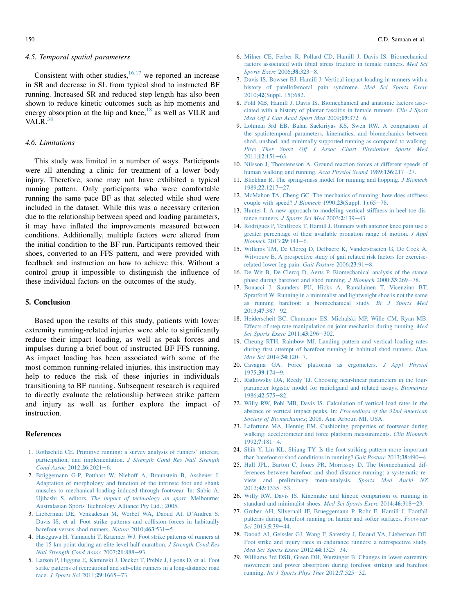# <span id="page-7-0"></span>4.5. Temporal spatial parameters

Consistent with other studies,  $16,17$  we reported an increase in SR and decrease in SL from typical shod to instructed BF running. Increased SR and reduced step length has also been shown to reduce kinetic outcomes such as hip moments and energy absorption at the hip and knee, $^{18}$  as well as VILR and VALR. $38$ 

# 4.6. Limitations

This study was limited in a number of ways. Participants were all attending a clinic for treatment of a lower body injury. Therefore, some may not have exhibited a typical running pattern. Only participants who were comfortable running the same pace BF as that selected while shod were included in the dataset. While this was a necessary criterion due to the relationship between speed and loading parameters, it may have inflated the improvements measured between conditions. Additionally, multiple factors were altered from the initial condition to the BF run. Participants removed their shoes, converted to an FFS pattern, and were provided with feedback and instruction on how to achieve this. Without a control group it impossible to distinguish the influence of these individual factors on the outcomes of the study.

#### 5. Conclusion

Based upon the results of this study, patients with lower extremity running-related injuries were able to significantly reduce their impact loading, as well as peak forces and impulses during a brief bout of instructed BF FFS running. As impact loading has been associated with some of the most common running-related injuries, this instruction may help to reduce the risk of these injuries in individuals transitioning to BF running. Subsequent research is required to directly evaluate the relationship between strike pattern and injury as well as further explore the impact of instruction.

## References

- 1. [Rothschild CE. Primitive running: a survey analysis of runners' interest,](http://refhub.elsevier.com/S2095-2546(14)00031-3/sref1) participation, and implementation. [J Strength Cond Res Natl Strength](http://refhub.elsevier.com/S2095-2546(14)00031-3/sref1)  $Cond$  Assoc 2012;26:2021-[6.](http://refhub.elsevier.com/S2095-2546(14)00031-3/sref1)
- 2. Brüggemann G-P, Potthast W, Niehoff A, Braunstein B, Assheuer J. [Adaptation of morphology and function of the intrinsic foot and shank](http://refhub.elsevier.com/S2095-2546(14)00031-3/sref25g) [muscles to mechanical loading induced through footwear. In: Subic A,](http://refhub.elsevier.com/S2095-2546(14)00031-3/sref25g) Ujihashi S, editors. [The impact of technology on sport.](http://refhub.elsevier.com/S2095-2546(14)00031-3/sref25g) Melbourne: [Australasian Sports Technology Alliance Pty Ltd.; 2005.](http://refhub.elsevier.com/S2095-2546(14)00031-3/sref25g)
- 3. [Lieberman DE, Venkadesan M, Werbel WA, Daoud AI, D'Andrea S,](http://refhub.elsevier.com/S2095-2546(14)00031-3/sref2) [Davis IS, et al. Foot strike patterns and collision forces in habitually](http://refhub.elsevier.com/S2095-2546(14)00031-3/sref2) [barefoot versus shod runners.](http://refhub.elsevier.com/S2095-2546(14)00031-3/sref2) Nature  $2010;463:531-5$ .
- 4. [Hasegawa H, Yamauchi T, Kraemer WJ. Foot strike patterns of runners at](http://refhub.elsevier.com/S2095-2546(14)00031-3/sref3) [the 15-km point during an elite-level half marathon.](http://refhub.elsevier.com/S2095-2546(14)00031-3/sref3) J Strength Cond Res [Natl Strength Cond Assoc](http://refhub.elsevier.com/S2095-2546(14)00031-3/sref3) 2007;21:888-[93.](http://refhub.elsevier.com/S2095-2546(14)00031-3/sref3)
- 5. [Larson P, Higgins E, Kaminski J, Decker T, Preble J, Lyons D, et al. Foot](http://refhub.elsevier.com/S2095-2546(14)00031-3/sref4) [strike patterns of recreational and sub-elite runners in a long-distance road](http://refhub.elsevier.com/S2095-2546(14)00031-3/sref4) race. [J Sports Sci](http://refhub.elsevier.com/S2095-2546(14)00031-3/sref4) 2011;29:1665-[73.](http://refhub.elsevier.com/S2095-2546(14)00031-3/sref4)
- 6. [Milner CE, Ferber R, Pollard CD, Hamill J, Davis IS. Biomechanical](http://refhub.elsevier.com/S2095-2546(14)00031-3/sref5) [factors associated with tibial stress fracture in female runners.](http://refhub.elsevier.com/S2095-2546(14)00031-3/sref5) Med Sci [Sports Exerc](http://refhub.elsevier.com/S2095-2546(14)00031-3/sref5) 2006:38:323-[8.](http://refhub.elsevier.com/S2095-2546(14)00031-3/sref5)
- 7. [Davis IS, Bowser BJ, Hamill J. Vertical impact loading in runners with a](http://refhub.elsevier.com/S2095-2546(14)00031-3/sref6) [history of patellofemoral pain syndrome.](http://refhub.elsevier.com/S2095-2546(14)00031-3/sref6) Med Sci Sports Exerc 2010;42[\(Suppl. 15\):682.](http://refhub.elsevier.com/S2095-2546(14)00031-3/sref6)
- 8. [Pohl MB, Hamill J, Davis IS. Biomechanical and anatomic factors asso](http://refhub.elsevier.com/S2095-2546(14)00031-3/sref7)[ciated with a history of plantar fasciitis in female runners.](http://refhub.elsevier.com/S2095-2546(14)00031-3/sref7) Clin J Sport [Med Off J Can Acad Sport Med](http://refhub.elsevier.com/S2095-2546(14)00031-3/sref7) 2009;19:372-[6.](http://refhub.elsevier.com/S2095-2546(14)00031-3/sref7)
- 9. [Lohman 3rd EB, Balan Sackiriyas KS, Swen RW. A comparison of](http://refhub.elsevier.com/S2095-2546(14)00031-3/sref8) [the spatiotemporal parameters, kinematics, and biomechanics between](http://refhub.elsevier.com/S2095-2546(14)00031-3/sref8) [shod, unshod, and minimally supported running as compared to walking.](http://refhub.elsevier.com/S2095-2546(14)00031-3/sref8) [Phys Ther Sport Off J Assoc Chart Physiother Sports Med](http://refhub.elsevier.com/S2095-2546(14)00031-3/sref8)  $2011;12:151-63.$  $2011;12:151-63.$  $2011;12:151-63.$
- 10. [Nilsson J, Thorstensson A. Ground reaction forces at different speeds of](http://refhub.elsevier.com/S2095-2546(14)00031-3/sref9) [human walking and running.](http://refhub.elsevier.com/S2095-2546(14)00031-3/sref9) Acta Physiol Scand  $1989:136:217-27$ .
- 11. [Blickhan R. The spring-mass model for running and hopping.](http://refhub.elsevier.com/S2095-2546(14)00031-3/sref10) J Biomech 1989;22[:1217](http://refhub.elsevier.com/S2095-2546(14)00031-3/sref10)-[27.](http://refhub.elsevier.com/S2095-2546(14)00031-3/sref10)
- 12. McMahon [TA, Cheng GC. The mechanics of running: how does stiffness](http://refhub.elsevier.com/S2095-2546(14)00031-3/sref11) [couple with speed?](http://refhub.elsevier.com/S2095-2546(14)00031-3/sref11) *J Biomech* 1990;23(Suppl. 1):65-[78.](http://refhub.elsevier.com/S2095-2546(14)00031-3/sref11)
- 13. [Hunter I. A new approach to modeling vertical stiffness in heel-toe dis-](http://refhub.elsevier.com/S2095-2546(14)00031-3/sref12)tance runners. [J Sports Sci Med](http://refhub.elsevier.com/S2095-2546(14)00031-3/sref12) 2003;2:139-[43.](http://refhub.elsevier.com/S2095-2546(14)00031-3/sref12)
- 14. [Rodrigues P, TenBroek T, Hamill J. Runners with anterior knee pain use a](http://refhub.elsevier.com/S2095-2546(14)00031-3/sref13) [greater percentage of their available pronation range of motion.](http://refhub.elsevier.com/S2095-2546(14)00031-3/sref13) J Appl [Biomech](http://refhub.elsevier.com/S2095-2546(14)00031-3/sref13)  $2013;29:141-6$ .
- 15. [Willems TM, De Clercq D, Delbaere K, Vanderstraeten G, De Cock A,](http://refhub.elsevier.com/S2095-2546(14)00031-3/sref14) [Witvrouw E. A prospective study of gait related risk factors for exercise](http://refhub.elsevier.com/S2095-2546(14)00031-3/sref14)[related lower leg pain.](http://refhub.elsevier.com/S2095-2546(14)00031-3/sref14) Gait Posture  $2006;23:91-8$ .
- 16. [De Wit B, De Clercq D, Aerts P. Biomechanical analysis of the stance](http://refhub.elsevier.com/S2095-2546(14)00031-3/sref15) [phase during barefoot and shod running.](http://refhub.elsevier.com/S2095-2546(14)00031-3/sref15)  $J$  Biomech 2000;33:269-[78.](http://refhub.elsevier.com/S2095-2546(14)00031-3/sref15)
- 17. [Bonacci J, Saunders PU, Hicks A, Rantalainen T, Vicenzino BT,](http://refhub.elsevier.com/S2095-2546(14)00031-3/sref16) [Spratford W. Running in a minimalist and lightweight shoe is not the same](http://refhub.elsevier.com/S2095-2546(14)00031-3/sref16) [as running barefoot: a biomechanical study.](http://refhub.elsevier.com/S2095-2546(14)00031-3/sref16) Br J Sports Med 2013:47:387-[92.](http://refhub.elsevier.com/S2095-2546(14)00031-3/sref16)
- 18. [Heiderscheit BC, Chumanov ES, Michalski MP, Wille CM, Ryan MB.](http://refhub.elsevier.com/S2095-2546(14)00031-3/sref17) [Effects of step rate manipulation on joint mechanics during running.](http://refhub.elsevier.com/S2095-2546(14)00031-3/sref17) Med [Sci Sports Exerc](http://refhub.elsevier.com/S2095-2546(14)00031-3/sref17) 2011;43:296-[302.](http://refhub.elsevier.com/S2095-2546(14)00031-3/sref17)
- 19. [Cheung RTH, Rainbow MJ. Landing pattern and vertical loading rates](http://refhub.elsevier.com/S2095-2546(14)00031-3/sref18) [during first attempt of barefoot running in habitual shod runners.](http://refhub.elsevier.com/S2095-2546(14)00031-3/sref18) Hum [Mov Sci](http://refhub.elsevier.com/S2095-2546(14)00031-3/sref18) 2014;34:120-[7.](http://refhub.elsevier.com/S2095-2546(14)00031-3/sref18)
- 20. [Cavagna GA. Force platforms as ergometers.](http://refhub.elsevier.com/S2095-2546(14)00031-3/sref19) J Appl Physiol [1975;](http://refhub.elsevier.com/S2095-2546(14)00031-3/sref19)39:174-[9.](http://refhub.elsevier.com/S2095-2546(14)00031-3/sref19)
- 21. [Ratkowsky DA, Reedy TJ. Choosing near-linear parameters in the four](http://refhub.elsevier.com/S2095-2546(14)00031-3/sref20)[parameter logistic model for radioligand and related assays.](http://refhub.elsevier.com/S2095-2546(14)00031-3/sref20) Biometrics  $1986:42:575-82.$  $1986:42:575-82.$
- 22. [Willy RW, Pohl MB, Davis IS. Calculation of vertical load rates in the](http://refhub.elsevier.com/S2095-2546(14)00031-3/sref21) [absence of vertical impact peaks. In:](http://refhub.elsevier.com/S2095-2546(14)00031-3/sref21) Proceedings of the 32nd American Society of Biomechanics[; 2008. Ann Arbour, MI, USA.](http://refhub.elsevier.com/S2095-2546(14)00031-3/sref21)
- 23. Lafortune [MA, Hennig EM. Cushioning properties of footwear during](http://refhub.elsevier.com/S2095-2546(14)00031-3/sref22) [walking: accelerometer and force platform measurements.](http://refhub.elsevier.com/S2095-2546(14)00031-3/sref22) Clin Biomech [1992;](http://refhub.elsevier.com/S2095-2546(14)00031-3/sref22)7:181-[4.](http://refhub.elsevier.com/S2095-2546(14)00031-3/sref22)
- 24. [Shih Y, Lin KL, Shiang TY. Is the foot striking pattern more important](http://refhub.elsevier.com/S2095-2546(14)00031-3/sref23) [than barefoot or shod conditions in running?](http://refhub.elsevier.com/S2095-2546(14)00031-3/sref23) Gait Posture 2013;38:490-[4.](http://refhub.elsevier.com/S2095-2546(14)00031-3/sref23)
- 25. [Hall JPL, Barton C, Jones PR, Morrissey D. The biomechanical dif](http://refhub.elsevier.com/S2095-2546(14)00031-3/sref24)[ferences between barefoot and shod distance running: a systematic re](http://refhub.elsevier.com/S2095-2546(14)00031-3/sref24)[view and preliminary meta-analysis.](http://refhub.elsevier.com/S2095-2546(14)00031-3/sref24) Sports Med Auckl NZ  $2013:43:1335 - 53.$  $2013:43:1335 - 53.$  $2013:43:1335 - 53.$  $2013:43:1335 - 53.$
- 26. [Willy RW, Davis IS. Kinematic and kinetic comparison of running in](http://refhub.elsevier.com/S2095-2546(14)00031-3/sref25) [standard and minimalist shoes.](http://refhub.elsevier.com/S2095-2546(14)00031-3/sref25) Med Sci Sports Exerc 2014;46:318-[23.](http://refhub.elsevier.com/S2095-2546(14)00031-3/sref25)
- 27. [Gruber AH, Silvernail JF, Brueggemann P, Rohr E, Hamill J. Footfall](http://refhub.elsevier.com/S2095-2546(14)00031-3/sref26) [patterns during barefoot running on harder and softer surfaces.](http://refhub.elsevier.com/S2095-2546(14)00031-3/sref26) Footwear Sci [2013;](http://refhub.elsevier.com/S2095-2546(14)00031-3/sref26)5:39-[44.](http://refhub.elsevier.com/S2095-2546(14)00031-3/sref26)
- 28. [Daoud AI, Geissler GJ, Wang F, Saretsky J, Daoud YA, Lieberman DE.](http://refhub.elsevier.com/S2095-2546(14)00031-3/sref27) [Foot strike and injury rates in endurance runners: a retrospective study.](http://refhub.elsevier.com/S2095-2546(14)00031-3/sref27) [Med Sci Sports Exerc](http://refhub.elsevier.com/S2095-2546(14)00031-3/sref27) 2012;44:1325-[34.](http://refhub.elsevier.com/S2095-2546(14)00031-3/sref27)
- 29. [Williams 3rd DSB, Green DH, Wurzinger B. Changes in lower extremity](http://refhub.elsevier.com/S2095-2546(14)00031-3/sref28) [movement and power absorption during forefoot striking and barefoot](http://refhub.elsevier.com/S2095-2546(14)00031-3/sref28) running. [Int J Sports Phys Ther](http://refhub.elsevier.com/S2095-2546(14)00031-3/sref28)  $2012;7:525-32$ .